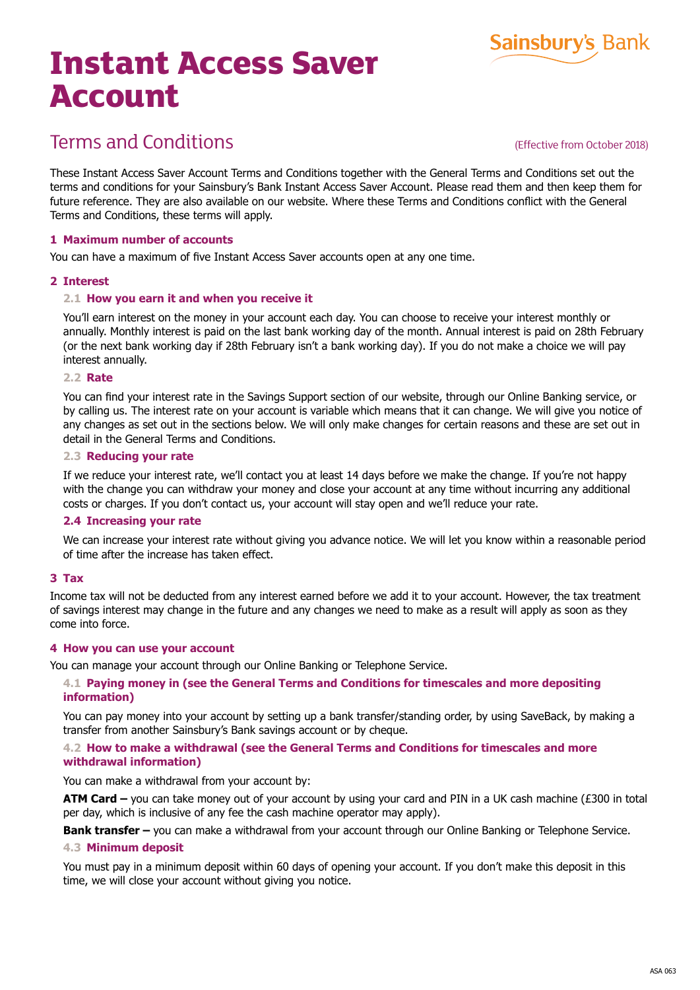# **Instant Access Saver Account**



(Effective from October 2018)

**Sainsbury's Bank** 

These Instant Access Saver Account Terms and Conditions together with the General Terms and Conditions set out the terms and conditions for your Sainsbury's Bank Instant Access Saver Account. Please read them and then keep them for future reference. They are also available on our website. Where these Terms and Conditions conflict with the General Terms and Conditions, these terms will apply.

## **1 Maximum number of accounts**

You can have a maximum of five Instant Access Saver accounts open at any one time.

#### **2 Interest**

#### **2.1 How you earn it and when you receive it**

You'll earn interest on the money in your account each day. You can choose to receive your interest monthly or annually. Monthly interest is paid on the last bank working day of the month. Annual interest is paid on 28th February (or the next bank working day if 28th February isn't a bank working day). If you do not make a choice we will pay interest annually.

#### **2.2 Rate**

You can find your interest rate in the Savings Support section of our website, through our Online Banking service, or by calling us. The interest rate on your account is variable which means that it can change. We will give you notice of any changes as set out in the sections below. We will only make changes for certain reasons and these are set out in detail in the General Terms and Conditions.

#### **2.3 Reducing your rate**

If we reduce your interest rate, we'll contact you at least 14 days before we make the change. If you're not happy with the change you can withdraw your money and close your account at any time without incurring any additional costs or charges. If you don't contact us, your account will stay open and we'll reduce your rate.

#### **2.4 Increasing your rate**

We can increase your interest rate without giving you advance notice. We will let you know within a reasonable period of time after the increase has taken effect.

#### **3 Tax**

Income tax will not be deducted from any interest earned before we add it to your account. However, the tax treatment of savings interest may change in the future and any changes we need to make as a result will apply as soon as they come into force.

#### **4 How you can use your account**

You can manage your account through our Online Banking or Telephone Service.

# **4.1 Paying money in (see the General Terms and Conditions for timescales and more depositing information)**

You can pay money into your account by setting up a bank transfer/standing order, by using SaveBack, by making a transfer from another Sainsbury's Bank savings account or by cheque.

#### **4.2 How to make a withdrawal (see the General Terms and Conditions for timescales and more withdrawal information)**

#### You can make a withdrawal from your account by:

**ATM Card –** you can take money out of your account by using your card and PIN in a UK cash machine (£300 in total per day, which is inclusive of any fee the cash machine operator may apply).

**Bank transfer –** you can make a withdrawal from your account through our Online Banking or Telephone Service.

#### **4.3 Minimum deposit**

You must pay in a minimum deposit within 60 days of opening your account. If you don't make this deposit in this time, we will close your account without giving you notice.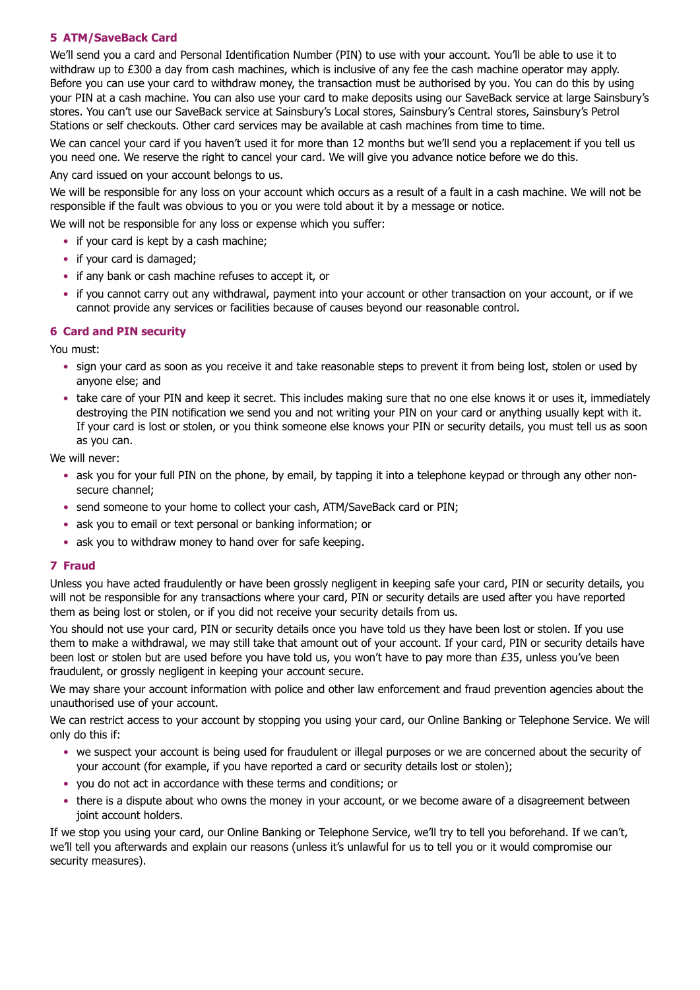# **5 ATM/SaveBack Card**

We'll send you a card and Personal Identification Number (PIN) to use with your account. You'll be able to use it to withdraw up to £300 a day from cash machines, which is inclusive of any fee the cash machine operator may apply. Before you can use your card to withdraw money, the transaction must be authorised by you. You can do this by using your PIN at a cash machine. You can also use your card to make deposits using our SaveBack service at large Sainsbury's stores. You can't use our SaveBack service at Sainsbury's Local stores, Sainsbury's Central stores, Sainsbury's Petrol Stations or self checkouts. Other card services may be available at cash machines from time to time.

We can cancel your card if you haven't used it for more than 12 months but we'll send you a replacement if you tell us you need one. We reserve the right to cancel your card. We will give you advance notice before we do this.

Any card issued on your account belongs to us.

We will be responsible for any loss on your account which occurs as a result of a fault in a cash machine. We will not be responsible if the fault was obvious to you or you were told about it by a message or notice.

We will not be responsible for any loss or expense which you suffer:

- if your card is kept by a cash machine:
- if your card is damaged;
- if any bank or cash machine refuses to accept it, or
- if you cannot carry out any withdrawal, payment into your account or other transaction on your account, or if we cannot provide any services or facilities because of causes beyond our reasonable control.

# **6 Card and PIN security**

You must:

- sign your card as soon as you receive it and take reasonable steps to prevent it from being lost, stolen or used by anyone else; and
- take care of your PIN and keep it secret. This includes making sure that no one else knows it or uses it, immediately destroying the PIN notification we send you and not writing your PIN on your card or anything usually kept with it. If your card is lost or stolen, or you think someone else knows your PIN or security details, you must tell us as soon as you can.

We will never:

- ask you for your full PIN on the phone, by email, by tapping it into a telephone keypad or through any other nonsecure channel;
- send someone to your home to collect your cash, ATM/SaveBack card or PIN;
- ask you to email or text personal or banking information; or
- ask you to withdraw money to hand over for safe keeping.

# **7 Fraud**

Unless you have acted fraudulently or have been grossly negligent in keeping safe your card, PIN or security details, you will not be responsible for any transactions where your card, PIN or security details are used after you have reported them as being lost or stolen, or if you did not receive your security details from us.

You should not use your card, PIN or security details once you have told us they have been lost or stolen. If you use them to make a withdrawal, we may still take that amount out of your account. If your card, PIN or security details have been lost or stolen but are used before you have told us, you won't have to pay more than £35, unless you've been fraudulent, or grossly negligent in keeping your account secure.

We may share your account information with police and other law enforcement and fraud prevention agencies about the unauthorised use of your account.

We can restrict access to your account by stopping you using your card, our Online Banking or Telephone Service. We will only do this if:

- we suspect your account is being used for fraudulent or illegal purposes or we are concerned about the security of your account (for example, if you have reported a card or security details lost or stolen);
- you do not act in accordance with these terms and conditions; or
- there is a dispute about who owns the money in your account, or we become aware of a disagreement between joint account holders.

If we stop you using your card, our Online Banking or Telephone Service, we'll try to tell you beforehand. If we can't, we'll tell you afterwards and explain our reasons (unless it's unlawful for us to tell you or it would compromise our security measures).